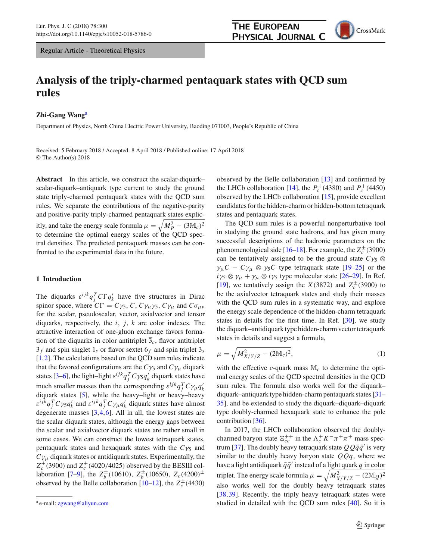

# **Analysis of the triply-charmed pentaquark states with QCD sum rules**

# **Zhi-Gang Wang**<sup>a</sup>

Department of Physics, North China Electric Power University, Baoding 071003, People's Republic of China

Received: 5 February 2018 / Accepted: 8 April 2018 / Published online: 17 April 2018 © The Author(s) 2018

**Abstract** In this article, we construct the scalar-diquark– scalar-diquark–antiquark type current to study the ground state triply-charmed pentaquark states with the QCD sum rules. We separate the contributions of the negative-parity and positive-parity triply-charmed pentaquark states explicitly, and take the energy scale formula  $\mu = \sqrt{M_P^2 - (3 \mathbb{M}_c)^2}$ to determine the optimal energy scales of the QCD spectral densities. The predicted pentaquark masses can be confronted to the experimental data in the future.

# **1 Introduction**

The diquarks  $\varepsilon^{ijk}q_j^T C\Gamma q_k^j$  have five structures in Dirac spinor space, where  $C\Gamma = C\gamma_5$ , *C*,  $C\gamma_\mu\gamma_5$ ,  $C\gamma_\mu$  and  $C\sigma_{\mu\nu}$ for the scalar, pseudoscalar, vector, axialvector and tensor diquarks, respectively, the *i*, *j*, *k* are color indexes. The attractive interaction of one-gluon exchange favors formation of the diquarks in color antitriplet  $\overline{3}_c$ , flavor antitriplet  $\overline{3}_f$  and spin singlet 1<sub>s</sub> or flavor sextet 6<sub>f</sub> and spin triplet 3<sub>s</sub> [\[1](#page-8-0),[2\]](#page-8-1). The calculations based on the QCD sum rules indicate that the favored configurations are the  $C\gamma_5$  and  $C\gamma_\mu$  diquark states [\[3](#page-8-2)[–6](#page-8-3)], the light–light  $\varepsilon^{ijk}q_j^T C\gamma_5 q_k'$  diquark states have much smaller masses than the corresponding  $\varepsilon^{ijk}q_j^T C \gamma_\mu q_k^j$ diquark states [\[5](#page-8-4)], while the heavy–light or heavy–heavy  $\varepsilon^{ijk} q_j^T C \gamma_5 q_k'$  and  $\varepsilon^{ijk} q_j^T C \gamma_\mu q_k'$  diquark states have almost degenerate masses  $[3,4,6]$  $[3,4,6]$  $[3,4,6]$  $[3,4,6]$ . All in all, the lowest states are the scalar diquark states, although the energy gaps between the scalar and axialvector diquark states are rather small in some cases. We can construct the lowest tetraquark states, pentaquark states and hexaquark states with the  $C\gamma_5$  and  $C\gamma_\mu$  diquark states or antidiquark states. Experimentally, the  $Z_c^{\pm}$  (3900) and  $Z_c^{\pm}$  (4020/4025) observed by the BESIII col-laboration [\[7](#page-8-6)[–9\]](#page-8-7), the  $Z_b^{\pm}$  (10610),  $Z_b^{\pm}$  (10650),  $Z_c$  (4200)<sup> $\pm$ </sup> observed by the Belle collaboration  $[10-12]$  $[10-12]$ , the  $Z_c^{\pm}(4430)$ 

observed by the Belle collaboration [\[13\]](#page-8-10) and confirmed by the LHCb collaboration [\[14](#page-8-11)], the  $P_c^+(4380)$  and  $P_c^+(4450)$ observed by the LHCb collaboration [\[15](#page-8-12)], provide excellent candidates for the hidden-charm or hidden-bottom tetraquark states and pentaquark states.

The QCD sum rules is a powerful nonperturbative tool in studying the ground state hadrons, and has given many successful descriptions of the hadronic parameters on the phenomenological side [ $16-18$ ]. For example, the  $Z_c^{\pm}(3900)$ can be tentatively assigned to be the ground state  $C\gamma_5 \otimes$  $\gamma_{\mu}C - C\gamma_{\mu} \otimes \gamma_{5}C$  type tetraquark state [\[19](#page-8-15)[–25](#page-8-16)] or the  $i\gamma_5 \otimes \gamma_\mu + \gamma_\mu \otimes i\gamma_5$  type molecular state [\[26](#page-8-17)[–29](#page-8-18)]. In Ref. [\[19](#page-8-15)], we tentatively assign the *X*(3872) and  $Z_c^{\pm}$ (3900) to be the axialvector tetraquark states and study their masses with the QCD sum rules in a systematic way, and explore the energy scale dependence of the hidden-charm tetraquark states in details for the first time. In Ref. [\[30](#page-8-19)], we study the diquark–antidiquark type hidden-charm vector tetraquark states in details and suggest a formula,

$$
\mu = \sqrt{M_{X/Y/Z}^2 - (2M_c)^2},\tag{1}
$$

with the effective  $c$ -quark mass  $\mathbb{M}_c$  to determine the optimal energy scales of the QCD spectral densities in the QCD sum rules. The formula also works well for the diquark– diquark–antiquark type hidden-charm pentaquark states [\[31](#page-8-20)– [35](#page-8-21)], and be extended to study the diquark–diquark–diquark type doubly-charmed hexaquark state to enhance the pole contribution [\[36](#page-8-22)].

In 2017, the LHCb collaboration observed the doublycharmed baryon state  $\Xi_{cc}^{++}$  in the  $\Lambda_c^+ K^- \pi^+ \pi^+$  mass spec-trum [\[37](#page-8-23)]. The doubly heavy tetraquark state  $QQ\bar{q}\bar{q}'$  is very similar to the doubly heavy baryon state  $QQq$ , where we have a light antidiquark  $\bar{q}\bar{q}'$  instead of a light quark *q* in color triplet. The energy scale formula  $\mu = \sqrt{M_{X/Y/Z}^2 - (2M_Q)^2}$ also works well for the doubly heavy tetraquark states [\[38](#page-8-24),[39\]](#page-8-25). Recently, the triply heavy tetraquark states were studied in detailed with the QCD sum rules [\[40](#page-8-26)]. So it is

<sup>a</sup> e-mail: [zgwang@aliyun.com](mailto:zgwang@aliyun.com)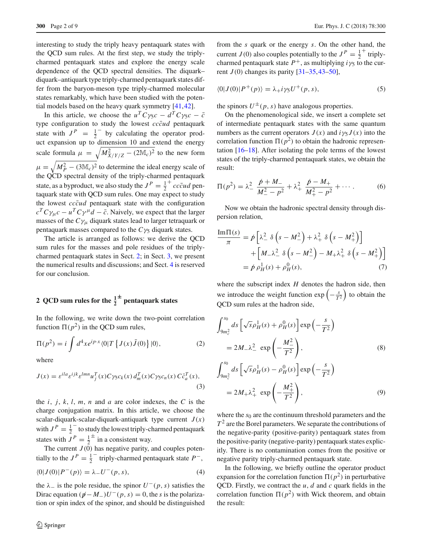interesting to study the triply heavy pentaquark states with the QCD sum rules. At the first step, we study the triplycharmed pentaquark states and explore the energy scale dependence of the QCD spectral densities. The diquark– diquark–antiquark type triply-charmed pentaquark states differ from the baryon-meson type triply-charmed molecular states remarkably, which have been studied with the potential models based on the heavy quark symmetry [\[41,](#page-8-27)[42\]](#page-8-28).

In this article, we choose the  $u^T C \gamma_5 c - d^T C \gamma_5 c - \bar{c}$ type configuration to study the lowest *cccud* pentaquark state with  $J^P = \frac{1}{2}$  by calculating the operator product expansion up to dimension 10 and extend the energy scale formula  $\mu = \sqrt{M_{X/Y/Z}^2 - (2M_c)^2}$  to the new form  $\mu = \sqrt{M_P^2 - (3M_c)^2}$  to determine the ideal energy scale of the QCD spectral density of the triply-charmed pentaquark state, as a byproduct, we also study the  $J^P = \frac{1}{2}^+ c c\bar{c}ud$  pentaquark state with QCD sum rules. One may expect to study the lowest  $cc\bar{c}ud$  pentaquark state with the configuration  $c^T C \gamma_\mu c - u^T C \gamma^\mu d - \bar{c}$ . Naively, we expect that the larger masses of the  $C\gamma_\mu$  diquark states lead to larger tetraquark or pentaquark masses compared to the  $C\gamma_5$  diquark states.

The article is arranged as follows: we derive the QCD sum rules for the masses and pole residues of the triplycharmed pentaquark states in Sect. [2;](#page-1-0) in Sect. [3,](#page-4-0) we present the numerical results and discussions; and Sect. [4](#page-7-0) is reserved for our conclusion.

# <span id="page-1-0"></span>**2** QCD sum rules for the  $\frac{1}{2}^{\pm}$  pentaquark states

In the following, we write down the two-point correlation function  $\Pi(p^2)$  in the QCD sum rules,

$$
\Pi(p^2) = i \int d^4x e^{ip \cdot x} \langle 0|T \{J(x)\bar{J}(0)\} |0\rangle, \tag{2}
$$

where

$$
J(x) = \varepsilon^{ila} \varepsilon^{ijk} \varepsilon^{lmn} u_j^T(x) C \gamma_5 c_k(x) d_m^T(x) C \gamma_5 c_n(x) C \bar{c}_a^T(x),
$$
\n(3)

the  $i$ ,  $j$ ,  $k$ ,  $l$ ,  $m$ ,  $n$  and  $a$  are color indexes, the  $C$  is the charge conjugation matrix. In this article, we choose the scalar-diquark-scalar-diquark-antiquark type current  $J(x)$ with  $J^P = \frac{1}{2}^-$  to study the lowest triply-charmed pentaquark states with  $J^P = \frac{1}{2}^\pm$  in a consistent way.

The current  $J(0)$  has negative parity, and couples potentially to the  $J^P = \frac{1}{2}^-$  triply-charmed pentaquark state  $P^-$ ,

$$
\langle 0|J(0)|P^-(p)\rangle = \lambda_- U^-(p,s),\tag{4}
$$

the  $\lambda_$  is the pole residue, the spinor  $U^-(p, s)$  satisfies the Dirac equation  $(p - M_{\text{v}})U^-(p, s) = 0$ , the *s* is the polarization or spin index of the spinor, and should be distinguished

from the *s* quark or the energy *s*. On the other hand, the current *J*(0) also couples potentially to the  $J^P = \frac{1}{2}^+$  triplycharmed pentaquark state  $P^+$ , as multiplying  $i\gamma_5$  to the current  $J(0)$  changes its parity  $[31-35, 43-50]$  $[31-35, 43-50]$ ,

$$
\langle 0|J(0)|P^+(p)\rangle = \lambda_+ i\gamma_5 U^+(p,s),\tag{5}
$$

the spinors  $U^{\pm}(p, s)$  have analogous properties.

On the phenomenological side, we insert a complete set of intermediate pentaquark states with the same quantum numbers as the current operators  $J(x)$  and  $i\gamma_5 J(x)$  into the correlation function  $\Pi(p^2)$  to obtain the hadronic representation [\[16](#page-8-13)[–18](#page-8-14)]. After isolating the pole terms of the lowest states of the triply-charmed pentaquark states, we obtain the result:

$$
\Pi(p^2) = \lambda_{-}^2 \frac{\not p + M_{-}}{M_{-}^2 - p^2} + \lambda_{+}^2 \frac{\not p - M_{+}}{M_{+}^2 - p^2} + \cdots
$$
 (6)

Now we obtain the hadronic spectral density through dispersion relation,

$$
\frac{\text{Im}\Pi(s)}{\pi} = \hat{p} \left[ \lambda_-^2 \delta \left( s - M_-^2 \right) + \lambda_+^2 \delta \left( s - M_+^2 \right) \right] \n+ \left[ M_- \lambda_-^2 \delta \left( s - M_-^2 \right) - M_+ \lambda_+^2 \delta \left( s - M_+^2 \right) \right] \n= \hat{p} \rho_H^1(s) + \rho_H^0(s),
$$
\n(7)

where the subscript index *H* denotes the hadron side, then we introduce the weight function  $\exp\left(-\frac{s}{T^2}\right)$  to obtain the QCD sum rules at the hadron side,

$$
\int_{9m_c^2}^{s_0} ds \left[ \sqrt{s} \rho_H^1(s) + \rho_H^0(s) \right] \exp\left(-\frac{s}{T^2}\right)
$$
  
=  $2M_- \lambda_-^2 \exp\left(-\frac{M_-^2}{T^2}\right)$ , (8)  

$$
\int_{9m_c^2}^{s_0} ds \left[ \sqrt{s} \rho_H^1(s) - \rho_H^0(s) \right] \exp\left(-\frac{s}{T^2}\right)
$$
  
=  $2M_+ \lambda_+^2 \exp\left(-\frac{M_+^2}{T^2}\right)$ , (9)

where the  $s_0$  are the continuum threshold parameters and the  $T<sup>2</sup>$  are the Borel parameters. We separate the contributions of the negative-parity (positive-parity) pentaquark states from the positive-parity (negative-parity) pentaquark states explicitly. There is no contamination comes from the positive or negative parity triply-charmed pentaquark state.

In the following, we briefly outline the operator product expansion for the correlation function  $\Pi(p^2)$  in perturbative QCD. Firstly, we contract the *u*, *d* and *c* quark fields in the correlation function  $\Pi(p^2)$  with Wick theorem, and obtain the result: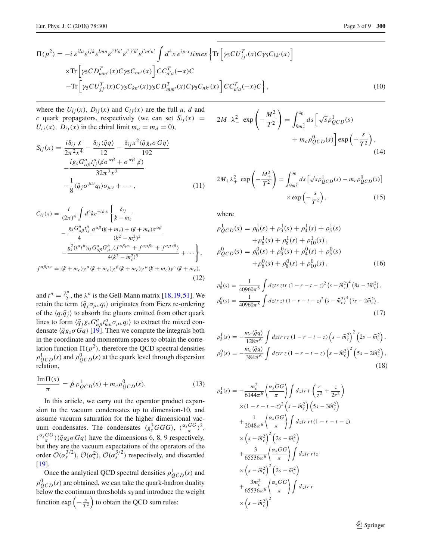$$
\Pi(p^2) = -i \varepsilon^{ila} \varepsilon^{ijk} \varepsilon^{lmn} \varepsilon^{i'l'a'} \varepsilon^{i'j'k'} \varepsilon^{l'm'n'} \int d^4x \, e^{ip\cdot x} \, times \left\{ \text{Tr} \left[ \gamma_5 C U_{jj'}^T(x) C \gamma_5 C_{kk'}(x) \right] \right. \times \text{Tr} \left[ \gamma_5 C D_{mm'}^T(x) C \gamma_5 C_{nn'}(x) \right] C C_{a'a}^T(-x) C
$$
\n
$$
- \text{Tr} \left[ \gamma_5 C U_{jj'}^T(x) C \gamma_5 C_{kn'}(x) \gamma_5 C D_{mm'}^T(x) C \gamma_5 C_{nk'}(x) \right] C C_{a'a}^T(-x) C \right\}, \tag{10}
$$

where the  $U_{ij}(x)$ ,  $D_{ij}(x)$  and  $C_{ij}(x)$  are the full *u*, *d* and *c* quark propagators, respectively (we can set  $S_{ij}(x)$  =  $U_{ij}(x)$ ,  $D_{ij}(x)$  in the chiral limit  $m_u = m_d = 0$ ),

$$
S_{ij}(x) = \frac{i\delta_{ij} \not x}{2\pi^2 x^4} - \frac{\delta_{ij} \langle \bar{q}q \rangle}{12} - \frac{\delta_{ij} x^2 \langle \bar{q}g_s \sigma Gq \rangle}{192} - \frac{i g_s G_{\alpha\beta}^a t_{ij}^a (\not x \sigma^{\alpha\beta} + \sigma^{\alpha\beta} \not x)}{32\pi^2 x^2} - \frac{1}{8} \langle \bar{q}_j \sigma^{\mu\nu} q_i \rangle \sigma_{\mu\nu} + \cdots, \qquad (11)
$$

$$
C_{ij}(x) = \frac{i}{(2\pi)^4} \int d^4k e^{-ik \cdot x} \left\{ \frac{\delta_{ij}}{k - m_c} - \frac{g_s G_{\alpha\beta}^n t_{ij}^n}{4} \frac{\sigma^{\alpha\beta} (k + m_c) + (k + m_c)\sigma^{\alpha\beta}}{(k^2 - m_c^2)^2} - \frac{g_s^2 (t^a t^b)_{ij} G_{\alpha\beta}^a G_{\mu\nu}^b (f^{\alpha\beta\mu\nu} + f^{\alpha\mu\beta\nu} + f^{\alpha\mu\nu\beta})}{4(k^2 - m_c^2)^5} + \cdots \right\},
$$
  

$$
f^{\alpha\beta\mu\nu} = (k + m_c) \gamma^{\alpha} (k + m_c) \gamma^{\beta} (k + m_c) \gamma^{\mu} (k + m_c) \gamma^{\nu} (k + m_c),
$$
 (12)

and  $t^n = \frac{\lambda^n}{2}$ , the  $\lambda^n$  is the Gell-Mann matrix [\[18,](#page-8-14)[19](#page-8-15)[,51](#page-8-31)]. We retain the term  $\langle \bar{q}_j \sigma_{\mu\nu} q_i \rangle$  originates from Fierz re-ordering of the  $\langle q_i \bar{q}_j \rangle$  to absorb the gluons emitted from other quark lines to form  $\langle \bar{q}_j g_s G^a_{\alpha\beta} t^a_{mn} \sigma_{\mu\nu} q_i \rangle$  to extract the mixed condensate  $\langle \bar{q}g_s\sigma Gq \rangle$  [\[19\]](#page-8-15). Then we compute the integrals both in the coordinate and momentum spaces to obtain the correlation function  $\Pi(p^2)$ , therefore the QCD spectral densities  $\rho_{QCD}^1(s)$  and  $\rho_{QCD}^0(s)$  at the quark level through dispersion relation,

$$
\frac{\text{Im}\Pi(s)}{\pi} = \dot{p} \,\rho_{QCD}^1(s) + m_c \rho_{QCD}^0(s). \tag{13}
$$

In this article, we carry out the operator product expansion to the vacuum condensates up to dimension-10, and assume vacuum saturation for the higher dimensional vacuum condensates. The condensates  $\langle g_s^3GGG \rangle$ ,  $\langle \frac{\alpha_sGG}{\pi} \rangle^2$ ,  $\langle \frac{\alpha_sGG}{\pi} \rangle \langle \bar{q}g_s \sigma Gq \rangle$  have the dimensions 6, 8, 9 respectively, but they are the vacuum expectations of the operators of the order  $\mathcal{O}(\alpha_s^{3/2})$ ,  $\mathcal{O}(\alpha_s^2)$ ,  $\mathcal{O}(\alpha_s^{3/2})$  respectively, and discarded [\[19](#page-8-15)].

Once the analytical QCD spectral densities  $\rho_{QCD}^1(s)$  and  $\rho_{QCD}^0(s)$  are obtained, we can take the quark-hadron duality below the continuum thresholds  $s_0$  and introduce the weight function  $\exp\left(-\frac{s}{T^2}\right)$  to obtain the QCD sum rules:

<span id="page-2-0"></span>
$$
2M_{-}\lambda_{-}^{2} \exp\left(-\frac{M_{-}^{2}}{T^{2}}\right) = \int_{9m_{c}^{2}}^{s_{0}} ds \left[\sqrt{s}\rho_{QCD}^{1}(s) + m_{c}\rho_{QCD}^{0}(s)\right] \exp\left(-\frac{s}{T^{2}}\right),
$$
\n(14)

<span id="page-2-1"></span>
$$
2M_{+}\lambda_{+}^{2} \exp\left(-\frac{M_{+}^{2}}{T^{2}}\right) = \int_{9m_{c}^{2}}^{s_{0}} ds \left[\sqrt{s}\rho_{QCD}^{1}(s) - m_{c}\rho_{QCD}^{0}(s)\right]
$$

$$
\times \exp\left(-\frac{s}{T^{2}}\right), \tag{15}
$$

where

$$
\rho_{QCD}^1(s) = \rho_0^1(s) + \rho_3^1(s) + \rho_4^1(s) + \rho_5^1(s) \n+ \rho_6^1(s) + \rho_8^1(s) + \rho_{10}^1(s) ,\n\rho_{QCD}^0(s) = \rho_0^0(s) + \rho_3^0(s) + \rho_4^0(s) + \rho_5^0(s) \n+ \rho_6^0(s) + \rho_8^0(s) + \rho_{10}^0(s) ,
$$
\n(16)

$$
\rho_0^1(s) = \frac{1}{40960\pi^8} \int dz \, tr \, (1 - r - t - z)^2 \left(s - \hat{m}_c^2\right)^4 \left(8s - 3\hat{m}_c^2\right),
$$
\n
$$
\rho_0^0(s) = \frac{1}{40960\pi^8} \int dz \, tr \, z \, t \left(1 - r - t - z\right)^2 \left(s - \hat{m}_c^2\right)^4 \left(7s - 2\hat{m}_c^2\right),\tag{17}
$$

$$
\rho_3^1(s) = -\frac{m_c\langle\bar{q}q\rangle}{128\pi^6} \int dz \, tr\, z\left(1 - r - t - z\right) \left(s - \widehat{m}_c^2\right)^2 \left(2s - \widehat{m}_c^2\right),
$$
\n
$$
\rho_3^0(s) = -\frac{m_c\langle\bar{q}q\rangle}{384\pi^6} \int dz \, tr\, z\left(1 - r - t - z\right) \left(s - \widehat{m}_c^2\right)^2 \left(5s - 2\widehat{m}_c^2\right),
$$
\n(18)

$$
\rho_4^1(s) = -\frac{m_c^2}{6144\pi^6} \left\{ \frac{\alpha_s GG}{\pi} \right\} \int dz \, tr \, t \left( \frac{r}{z^2} + \frac{z}{2r^2} \right)
$$
\n
$$
\times (1 - r - t - z)^2 \left( s - \widehat{m}_c^2 \right) \left( 5s - 3\widehat{m}_c^2 \right)
$$
\n
$$
+ \frac{1}{2048\pi^6} \left\{ \frac{\alpha_s GG}{\pi} \right\} \int dz \, tr \, rt \, (1 - r - t - z)
$$
\n
$$
\times \left( s - \widehat{m}_c^2 \right)^2 \left( 2s - \widehat{m}_c^2 \right)
$$
\n
$$
+ \frac{3}{65536\pi^6} \left\{ \frac{\alpha_s GG}{\pi} \right\} \int dz \, tr \, r \, tz
$$
\n
$$
\times \left( s - \widehat{m}_c^2 \right)^2 \left( 2s - \widehat{m}_c^2 \right)
$$
\n
$$
+ \frac{3m_c^2}{65536\pi^6} \left\{ \frac{\alpha_s GG}{\pi} \right\} \int dz \, tr \, r
$$
\n
$$
\times \left( s - \widehat{m}_c^2 \right)^2
$$
\n
$$
\times \left( s - \widehat{m}_c^2 \right)^2
$$

 $\mathcal{D}$  Springer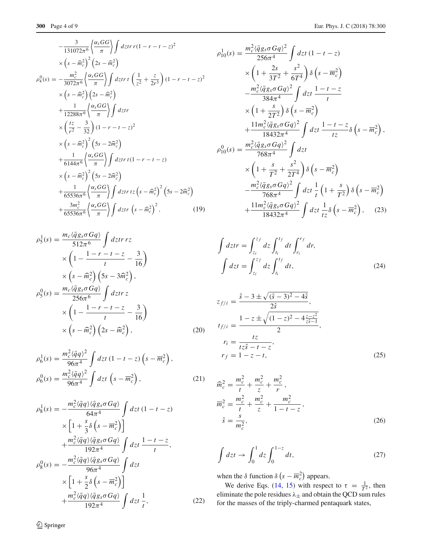$$
-\frac{3}{131072\pi^{6}}\left\{\frac{\alpha_{s}GG}{\pi}\right\}\int dz \, tr \, (1 - r - t - z)^{2}
$$
\n
$$
\times \left(s - \widehat{m}_{c}^{2}\right)^{2}\left(2s - \widehat{m}_{c}^{2}\right)
$$
\n
$$
\rho_{4}^{0}(s) = -\frac{m_{c}^{2}}{3072\pi^{6}}\left\{\frac{\alpha_{s}GG}{\pi}\right\}\int dz \, tr \, t\left(\frac{1}{z^{2}} + \frac{z}{2r^{3}}\right)(1 - r - t - z)^{2}
$$
\n
$$
\times \left(s - \widehat{m}_{c}^{2}\right)\left(2s - \widehat{m}_{c}^{2}\right)
$$
\n
$$
+\frac{1}{12288\pi^{6}}\left\{\frac{\alpha_{s}GG}{\pi}\right\}\int dz \, tr
$$
\n
$$
\times \left(\frac{tz}{r^{2}} - \frac{3}{32}\right)(1 - r - t - z)^{2}
$$
\n
$$
\times \left(s - \widehat{m}_{c}^{2}\right)^{2}\left(5s - 2\widehat{m}_{c}^{2}\right)
$$
\n
$$
+\frac{1}{6144\pi^{6}}\left\{\frac{\alpha_{s}GG}{\pi}\right\}\int dz \, tr \, t(1 - r - t - z)
$$
\n
$$
\times \left(s - \widehat{m}_{c}^{2}\right)^{2}\left(5s - 2\widehat{m}_{c}^{2}\right)
$$
\n
$$
+\frac{1}{65536\pi^{6}}\left\{\frac{\alpha_{s}GG}{\pi}\right\}\int dz \, tr \, tz \left(s - \widehat{m}_{c}^{2}\right)^{2}\left(5s - 2\widehat{m}_{c}^{2}\right)
$$
\n
$$
+\frac{3m_{c}^{2}}{65536\pi^{6}}\left\{\frac{\alpha_{s}GG}{\pi}\right\}\int dz \, tr \, \left(s - \widehat{m}_{c}^{2}\right)^{2}, \qquad (19)
$$

$$
\rho_5^1(s) = \frac{m_c \langle \bar{q}g_s \sigma Gq \rangle}{512\pi^6} \int dz \, tr \, rz
$$
  
\n
$$
\times \left(1 - \frac{1 - r - t - z}{t} - \frac{3}{16}\right)
$$
  
\n
$$
\times \left(s - \widehat{m}_c^2\right) \left(5s - 3\widehat{m}_c^2\right),
$$
  
\n
$$
\rho_5^0(s) = \frac{m_c \langle \bar{q}g_s \sigma Gq \rangle}{256\pi^6} \int dz \, tr \, z
$$
  
\n
$$
\times \left(1 - \frac{1 - r - t - z}{t} - \frac{3}{16}\right)
$$
  
\n
$$
\times \left(s - \widehat{m}_c^2\right) \left(2s - \widehat{m}_c^2\right),
$$
\n(20)

$$
\rho_6^1(s) = \frac{m_c^2 \langle \bar{q}q \rangle^2}{96\pi^4} \int dz t (1 - t - z) \left(s - \overline{m}_c^2\right),
$$
  

$$
\rho_6^0(s) = \frac{m_c^2 \langle \bar{q}q \rangle^2}{96\pi^4} \int dz t \left(s - \overline{m}_c^2\right),
$$
 (21)

$$
\rho_8^1(s) = -\frac{m_c^2 \langle \bar{q}q \rangle \langle \bar{q}g_s \sigma Gq \rangle}{64\pi^4} \int dz t (1 - t - z)
$$
  
\n
$$
\times \left[ 1 + \frac{s}{3} \delta \left( s - \overline{m}_c^2 \right) \right]
$$
  
\n
$$
+ \frac{m_c^2 \langle \bar{q}q \rangle \langle \bar{q}g_s \sigma Gq \rangle}{192\pi^4} \int dz t \frac{1 - t - z}{t},
$$
  
\n
$$
\rho_8^0(s) = -\frac{m_c^2 \langle \bar{q}q \rangle \langle \bar{q}g_s \sigma Gq \rangle}{96\pi^4} \int dz t
$$
  
\n
$$
\times \left[ 1 + \frac{s}{2} \delta \left( s - \overline{m}_c^2 \right) \right]
$$
  
\n
$$
+ \frac{m_c^2 \langle \bar{q}q \rangle \langle \bar{q}g_s \sigma Gq \rangle}{192\pi^4} \int dz t \frac{1}{t},
$$
\n(22)

$$
\rho_{10}^1(s) = \frac{m_c^2 \langle \bar{q}g_s \sigma G q \rangle^2}{256\pi^4} \int dz t (1 - t - z) \times \left(1 + \frac{2s}{3T^2} + \frac{s^2}{6T^4}\right) \delta\left(s - \overline{m}_c^2\right) \n- \frac{m_c^2 \langle \bar{q}g_s \sigma G q \rangle^2}{384\pi^4} \int dz t \frac{1 - t - z}{t} \n\times \left(1 + \frac{s}{2T^2}\right) \delta\left(s - \overline{m}_c^2\right) \n+ \frac{11m_c^2 \langle \bar{q}g_s \sigma G q \rangle^2}{18432\pi^4} \int dz t \frac{1 - t - z}{tz} \delta\left(s - \overline{m}_c^2\right), \n\rho_{10}^0(s) = \frac{m_c^2 \langle \bar{q}g_s \sigma G q \rangle^2}{768\pi^4} \int dz t \n\times \left(1 + \frac{s}{T^2} + \frac{s^2}{2T^4}\right) \delta\left(s - \overline{m}_c^2\right) \n- \frac{m_c^2 \langle \bar{q}g_s \sigma G q \rangle^2}{768\pi^4} \int dz t \frac{1}{t} \left(1 + \frac{s}{T^2}\right) \delta\left(s - \overline{m}_c^2\right) \n+ \frac{11m_c^2 \langle \bar{q}g_s \sigma G q \rangle^2}{18432\pi^4} \int dz t \frac{1}{tz} \delta\left(s - \overline{m}_c^2\right), \quad (23)
$$

$$
\int dz \, tr = \int_{z_i}^{z_f} dz \int_{t_i}^{t_f} dt \int_{r_i}^{r_f} dr,
$$
\n
$$
\int dz \, t = \int_{z_i}^{z_f} dz \int_{t_i}^{t_f} dt,
$$
\n(24)

$$
z_{f/i} = \frac{\hat{s} - 3 \pm \sqrt{(\hat{s} - 3)^2 - 4\hat{s}}}{2\hat{s}},
$$
  
\n
$$
t_{f/i} = \frac{1 - z \pm \sqrt{(1 - z)^2 - 4\frac{z - z^2}{z\hat{s} - 1}}}{2},
$$
  
\n
$$
r_i = \frac{tz}{tz\hat{s} - t - z},
$$
  
\n
$$
r_f = 1 - z - t,
$$
 (25)

$$
\widehat{m}_c^2 = \frac{m_c^2}{t} + \frac{m_c^2}{z} + \frac{m_c^2}{r},
$$
\n
$$
\overline{m}_c^2 = \frac{m_c^2}{t} + \frac{m_c^2}{z} + \frac{m_c^2}{1 - t - z},
$$
\n
$$
\widehat{s} = \frac{s}{m_c^2},
$$
\n(26)

$$
\int dz \, t \to \int_0^1 dz \int_0^{1-z} dt,\tag{27}
$$

when the  $\delta$  function  $\delta \left( s - \overline{m}_c^2 \right)$  appears.

We derive Eqs. [\(14,](#page-2-0) [15\)](#page-2-1) with respect to  $\tau = \frac{1}{T^2}$ , then eliminate the pole residues  $\lambda_{\pm}$  and obtain the QCD sum rules for the masses of the triply-charmed pentaquark states,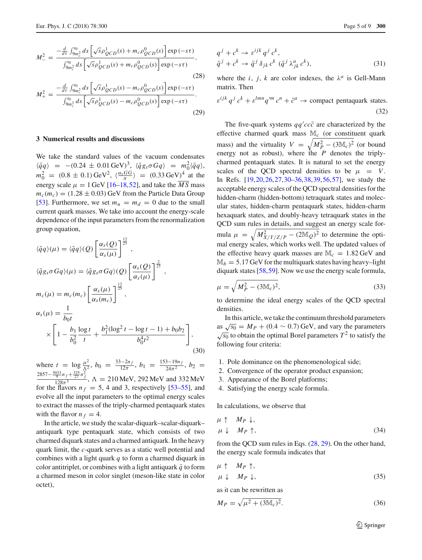<span id="page-4-1"></span>
$$
M_{-}^{2} = \frac{-\frac{d}{d\tau} \int_{9m_c^2}^{50} ds \left[ \sqrt{s} \rho_{QCD}^1(s) + m_c \rho_{QCD}^0(s) \right] \exp(-s\tau)}{\int_{9m_c^2}^{50} ds \left[ \sqrt{s} \rho_{QCD}^1(s) + m_c \rho_{QCD}^0(s) \right] \exp(-s\tau)},
$$
\n
$$
M_{+}^{2} = \frac{-\frac{d}{d\tau} \int_{9m_c^2}^{50} ds \left[ \sqrt{s} \rho_{QCD}^1(s) - m_c \rho_{QCD}^0(s) \right] \exp(-s\tau)}{\int_{9m_c^2}^{50} ds \left[ \sqrt{s} \rho_{QCD}^1(s) - m_c \rho_{QCD}^0(s) \right] \exp(-s\tau)}.
$$
\n(29)

### <span id="page-4-0"></span>**3 Numerical results and discussions**

We take the standard values of the vacuum condensates  $\langle \bar{q}q \rangle$  = -(0.24 ± 0.01 GeV)<sup>3</sup>,  $\langle \bar{q}g_s \sigma Gq \rangle$  =  $m_0^2 \langle \bar{q}q \rangle$ ,  $m_0^2 = (0.8 \pm 0.1) \text{ GeV}^2$ ,  $\langle \frac{\alpha_s GG}{\pi} \rangle = (0.33 \text{ GeV})^4$  at the energy scale  $\mu = 1$  GeV [\[16](#page-8-13)[–18](#page-8-14)[,52](#page-8-32)], and take the  $\overline{MS}$  mass  $m_c(m_c) = (1.28 \pm 0.03)$  GeV from the Particle Data Group [\[53](#page-8-33)]. Furthermore, we set  $m_u = m_d = 0$  due to the small current quark masses. We take into account the energy-scale dependence of the input parameters from the renormalization group equation,

$$
\langle \bar{q}q \rangle(\mu) = \langle \bar{q}q \rangle(Q) \left[ \frac{\alpha_s(Q)}{\alpha_s(\mu)} \right]^{\frac{12}{25}},
$$
  

$$
\langle \bar{q}g_s \sigma Gq \rangle(\mu) = \langle \bar{q}g_s \sigma Gq \rangle(Q) \left[ \frac{\alpha_s(Q)}{\alpha_s(\mu)} \right]^{\frac{2}{25}},
$$
  

$$
m_c(\mu) = m_c(m_c) \left[ \frac{\alpha_s(\mu)}{\alpha_s(m_c)} \right]^{\frac{12}{25}},
$$
  

$$
\alpha_s(\mu) = \frac{1}{b_0 t}
$$
  

$$
\times \left[ 1 - \frac{b_1}{b_0^2} \frac{\log t}{t} + \frac{b_1^2(\log^2 t - \log t - 1) + b_0 b_2}{b_0^4 t^2} \right],
$$
(30)

where  $t = \log \frac{\mu^2}{\Lambda^2}$ ,  $b_0 = \frac{33 - 2n_f}{12\pi}$ ,  $b_1 = \frac{153 - 19n_f}{24\pi^2}$ ,  $b_2 =$  $\frac{2857-\frac{5033}{9}n_f+\frac{325}{27}n_f^2}{128\pi^3}$ ,  $\Lambda = 210 \text{ MeV}$ , 292 MeV and 332 MeV for the flavors  $n_f = 5$ , 4 and 3, respectively [\[53](#page-8-33)[–55\]](#page-8-34), and evolve all the input parameters to the optimal energy scales to extract the masses of the triply-charmed pentaquark states with the flavor  $n_f = 4$ .

In the article, we study the scalar-diquark–scalar-diquark– antiquark type pentaquark state, which consists of two charmed diquark states and a charmed antiquark. In the heavy quark limit, the *c*-quark serves as a static well potential and combines with a light quark *q* to form a charmed diquark in color antitriplet, or combines with a light antiquark  $\bar{q}$  to form a charmed meson in color singlet (meson-like state in color octet),

$$
q^{j} + c^{k} \rightarrow \varepsilon^{ijk} q^{j} c^{k},
$$
  
\n
$$
\bar{q}^{j} + c^{k} \rightarrow \bar{q}^{j} \delta_{jk} c^{k} (\bar{q}^{j} \lambda^{a}_{jk} c^{k}),
$$
\n(31)

where the *i*, *j*, *k* are color indexes, the  $\lambda^a$  is Gell-Mann matrix. Then

 $\varepsilon^{ijk} q^j c^k + \varepsilon^{lmn} q'^m c^n + \bar{c}^a \rightarrow$  compact pentaquark states. (32)

The five-quark systems  $qq'cc\bar{c}$  are characterized by the effective charmed quark mass M*<sup>c</sup>* (or constituent quark mass) and the virtuality  $V = \sqrt{M_P^2 - (3M_C)^2}$  (or bound energy not as robust), where the *P* denotes the triplycharmed pentaquark states. It is natural to set the energy scales of the QCD spectral densities to be  $\mu = V$ . In Refs. [\[19](#page-8-15)[,20](#page-8-35),[26](#page-8-17),[27,](#page-8-36)[30](#page-8-19)[–36](#page-8-22)[,38](#page-8-24)[,39](#page-8-25),[56,](#page-8-37)[57\]](#page-8-38), we study the acceptable energy scales of the QCD spectral densities for the hidden-charm (hidden-bottom) tetraquark states and molecular states, hidden-charm pentaquark states, hidden-charm hexaquark states, and doubly-heavy tetraquark states in the QCD sum rules in details, and suggest an energy scale formula  $\mu = \sqrt{M_{X/Y/Z/P}^2 - (2M_Q)^2}$  to determine the optimal energy scales, which works well. The updated values of the effective heavy quark masses are  $\mathbb{M}_c = 1.82 \,\text{GeV}$  and  $M_b = 5.17$  GeV for the multiquark states having heavy–light diquark states [\[58,](#page-8-39)[59\]](#page-8-40). Now we use the energy scale formula,

$$
\mu = \sqrt{M_P^2 - (3M_c)^2},\tag{33}
$$

to determine the ideal energy scales of the QCD spectral densities.

In this article, we take the continuum threshold parameters as  $\sqrt{s_0} = M_P + (0.4 \sim 0.7)$  GeV, and vary the parameters  $\sqrt{s_0}$  to obtain the optimal Borel parameters  $T^2$  to satisfy the following four criteria:

- 1. Pole dominance on the phenomenological side;
- 2. Convergence of the operator product expansion;
- 3. Appearance of the Borel platforms;
- 4. Satisfying the energy scale formula.

In calculations, we observe that

$$
\mu \uparrow M_P \downarrow, \n\mu \downarrow M_P \uparrow,
$$
\n(34)

from the QCD sum rules in Eqs. [\(28,](#page-4-1) [29\)](#page-4-1). On the other hand, the energy scale formula indicates that

$$
\mu \uparrow M_P \uparrow, \n\mu \downarrow M_P \downarrow, \tag{35}
$$

as it can be rewritten as

$$
M_P = \sqrt{\mu^2 + (3M_c)^2}.
$$
 (36)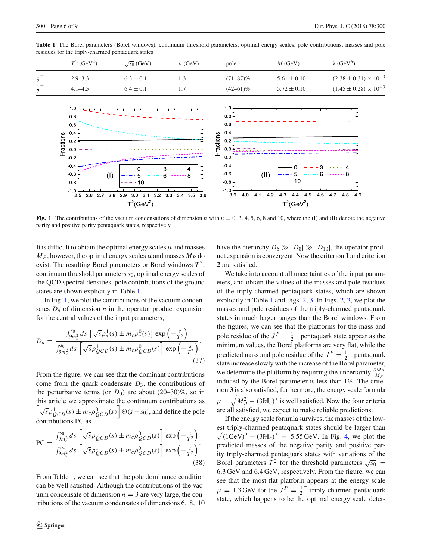| residues for the triply-enarmed pentaqual states |                           |                    |             |               |                 |                                  |
|--------------------------------------------------|---------------------------|--------------------|-------------|---------------|-----------------|----------------------------------|
|                                                  | $T^2$ (GeV <sup>2</sup> ) | $\sqrt{s_0}$ (GeV) | $\mu$ (GeV) | pole          | $M$ (GeV)       | $\lambda$ (GeV <sup>6</sup> )    |
| $\frac{1}{2}$                                    | $2.9 - 3.3$               | $6.3 \pm 0.1$      |             | $(71 - 87)\%$ | $5.61 \pm 0.10$ | $(2.38 \pm 0.31) \times 10^{-3}$ |
| $rac{1}{2}$ +                                    | $4.1 - 4.5$               | $6.4 \pm 0.1$      |             | $(42 - 61)\%$ | $5.72 \pm 0.10$ | $(1.45 \pm 0.28) \times 10^{-3}$ |

<span id="page-5-0"></span>**Table 1** The Borel parameters (Borel windows), continuum threshold parameters, optimal energy scales, pole contributions, masses and pole residues for the triply-charmed pentaquark states



<span id="page-5-1"></span>**Fig. 1** The contributions of the vacuum condensations of dimension *n* with  $n = 0, 3, 4, 5, 6, 8$  and 10, where the (I) and (II) denote the negative parity and positive parity pentaquark states, respectively.

It is difficult to obtain the optimal energy scales  $\mu$  and masses  $M_P$ , however, the optimal energy scales  $\mu$  and masses  $M_P$  do exist. The resulting Borel parameters or Borel windows  $T^2$ , continuum threshold parameters *s*0, optimal energy scales of the QCD spectral densities, pole contributions of the ground states are shown explicitly in Table [1.](#page-5-0)

In Fig. [1,](#page-5-1) we plot the contributions of the vacuum condensates  $D_n$  of dimension *n* in the operator product expansion for the central values of the input parameters,

$$
D_n = \frac{\int_{9m_c^2}^{50} ds \left[ \sqrt{s} \rho_n^1(s) \pm m_c \rho_n^0(s) \right] \exp\left(-\frac{s}{T^2}\right)}{\int_{9m_c^2}^{50} ds \left[ \sqrt{s} \rho_{QCD}^1(s) \pm m_c \rho_{QCD}^0(s) \right] \exp\left(-\frac{s}{T^2}\right)}.
$$
\n(37)

From the figure, we can see that the dominant contributions come from the quark condensate  $D_3$ , the contributions of the perturbative terms (or  $D_0$ ) are about  $(20-30)\%$ , so in this article we approximate the continuum contributions as  $\left[\sqrt{s}\rho_{QCD}^1(s) \pm m_c \rho_{QCD}^0(s)\right] \Theta(s-s_0)$ , and define the pole contributions PC as

$$
PC = \frac{\int_{9m_c^2}^{50} ds \left[ \sqrt{s} \rho_{QCD}^1(s) \pm m_c \rho_{QCD}^0(s) \right] \exp\left(-\frac{s}{T^2}\right)}{\int_{9m_c^2}^{\infty} ds \left[ \sqrt{s} \rho_{QCD}^1(s) \pm m_c \rho_{QCD}^0(s) \right] \exp\left(-\frac{s}{T^2}\right)}.
$$
\n(38)

From Table [1,](#page-5-0) we can see that the pole dominance condition can be well satisfied. Although the contributions of the vacuum condensate of dimension  $n = 3$  are very large, the contributions of the vacuum condensates of dimensions 6, 8, 10 have the hierarchy  $D_6 \gg |D_8| \gg |D_{10}|$ , the operator product expansion is convergent. Now the criterion **1** and criterion **2** are satisfied.

We take into account all uncertainties of the input parameters, and obtain the values of the masses and pole residues of the triply-charmed pentaquark states, which are shown explicitly in Table [1](#page-5-0) and Figs. [2,](#page-6-0) [3.](#page-6-1) In Figs. [2,](#page-6-0) [3,](#page-6-1) we plot the masses and pole residues of the triply-charmed pentaquark states in much larger ranges than the Borel windows. From the figures, we can see that the platforms for the mass and pole residue of the  $J^P = \frac{1}{2}$  pentaquark state appear as the minimum values, the Borel platforms are very flat, while the predicted mass and pole residue of the  $J^P = \frac{1}{2}^+$  pentaquark state increase slowly with the increase of the Borel parameter, we determine the platform by requiring the uncertainty  $\frac{\delta M_P}{M_P}$ induced by the Borel parameter is less than 1%. The criterion **3** is also satisfied, furthermore, the energy scale formula  $\mu = \sqrt{M_P^2 - (3M_C)^2}$  is well satisfied. Now the four criteria are all satisfied, we expect to make reliable predictions.

If the energy scale formula survives, the masses of the lowest triply-charmed pentaquark states should be larger than  $\sqrt{(1 \text{GeV})^2 + (3 \text{M}_c)^2} = 5.55 \text{ GeV}$ . In Fig. [4,](#page-6-2) we plot the predicted masses of the negative parity and positive parity triply-charmed pentaquark states with variations of the Borel parameters  $T^2$  for the threshold parameters  $\sqrt{s_0}$  = 6.3 GeV and 6.4 GeV, respectively. From the figure, we can see that the most flat platform appears at the energy scale  $\mu = 1.3$  GeV for the  $J^P = \frac{1}{2}$  triply-charmed pentaquark state, which happens to be the optimal energy scale deter-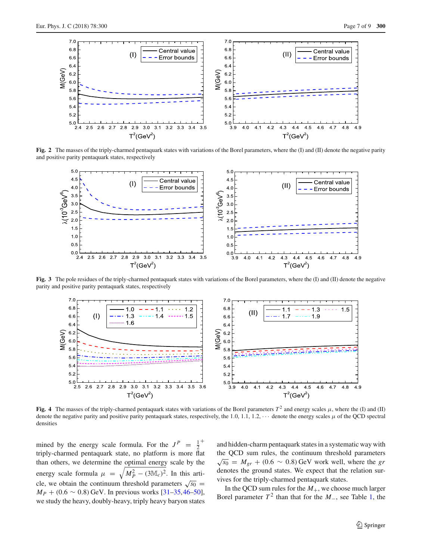

**Fig. 2** The masses of the triply-charmed pentaquark states with variations of the Borel parameters, where the (I) and (II) denote the negative parity and positive parity pentaquark states, respectively

<span id="page-6-0"></span>

**Fig. 3** The pole residues of the triply-charmed pentaquark states with variations of the Borel parameters, where the (I) and (II) denote the negative parity and positive parity pentaquark states, respectively

<span id="page-6-1"></span>

<span id="page-6-2"></span>**Fig. 4** The masses of the triply-charmed pentaquark states with variations of the Borel parameters  $T^2$  and energy scales  $\mu$ , where the (I) and (II) denote the negative parity and positive parity pentaquark states, respectively, the 1.0, 1.1, 1.2, ··· denote the energy scales μ of the QCD spectral densities

mined by the energy scale formula. For the  $J^P = \frac{1}{2}$ triply-charmed pentaquark state, no platform is more flat than others, we determine the optimal energy scale by the energy scale formula  $\mu = \sqrt{M_P^2 - (3M_C)^2}$ . In this article, we obtain the continuum threshold parameters  $\sqrt{s_0}$  =  $M_P + (0.6 \sim 0.8)$  GeV. In previous works [\[31](#page-8-20)[–35](#page-8-21)[,46](#page-8-41)[–50](#page-8-30)], we study the heavy, doubly-heavy, triply heavy baryon states and hidden-charm pentaquark states in a systematic way with the QCD sum rules, the continuum threshold parameters  $√s_0$  =  $M_{gr}$  + (0.6 ∼ 0.8) GeV work well, where the *gr* denotes the ground states. We expect that the relation survives for the triply-charmed pentaquark states.

In the QCD sum rules for the  $M_{+}$ , we choose much larger Borel parameter  $T^2$  than that for the  $M_$ , see Table [1,](#page-5-0) the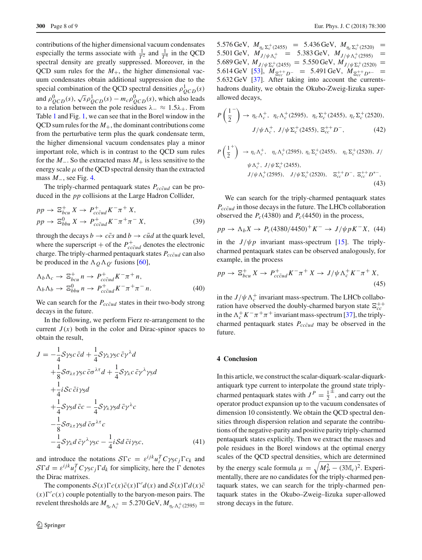contributions of the higher dimensional vacuum condensates especially the terms associate with  $\frac{1}{T^2}$  and  $\frac{1}{T^4}$  in the QCD spectral density are greatly suppressed. Moreover, in the QCD sum rules for the  $M_{+}$ , the higher dimensional vacuum condensates obtain additional suppression due to the special combination of the QCD spectral densities  $\rho_{QCD}^1(s)$ and  $\rho_{QCD}^0(s)$ ,  $\sqrt{s} \rho_{QCD}^1(s) - m_c \rho_{QCD}^0(s)$ , which also leads to a relation between the pole residues  $\lambda_-\approx 1.5\lambda_+$ . From Table [1](#page-5-0) and Fig. [1,](#page-5-1) we can see that in the Borel window in the  $QCD$  sum rules for the  $M_+$ , the dominant contributions come from the perturbative term plus the quark condensate term, the higher dimensional vacuum condensates play a minor important role, which is in contrast to the QCD sum rules for the  $M_$ . So the extracted mass  $M_+$  is less sensitive to the energy scale  $\mu$  of the QCD spectral density than the extracted mass *M*−, see Fig. [4.](#page-6-2)

The triply-charmed pentaquark states  $P_{cc\bar{c}ud}$  can be produced in the *pp* collisions at the Large Hadron Collider,

$$
pp \to \Xi_{bcu}^{+} X \to P_{cc\bar{c}ud}^{+} K^{-} \pi^{+} X,
$$
  
\n
$$
pp \to \Xi_{bbu}^{0} X \to P_{cc\bar{c}ud}^{+} K^{-} \pi^{+} \pi^{-} X,
$$
\n(39)

through the decays  $b \to c\bar{c}s$  and  $b \to c\bar{u}d$  at the quark level, where the superscript + of the  $P_{cc\bar{c}ud}^+$  denotes the electronic charge. The triply-charmed pentaquark states  $P_{cc\bar{c}ud}$  can also be produced in the  $\Lambda Q \Lambda Q'$  fusions [\[60](#page-8-42)],

$$
\Lambda_b \Lambda_c \to \Xi_{bcu}^+ n \to P_{cc\bar{c}ud}^+ K^- \pi^+ n,
$$
  
\n
$$
\Lambda_b \Lambda_b \to \Xi_{bbu}^0 n \to P_{cc\bar{c}ud}^+ K^- \pi^+ \pi^- n.
$$
\n(40)

We can search for the  $P_{cc\bar{c}ud}$  states in their two-body strong decays in the future.

In the following, we perform Fierz re-arrangement to the current  $J(x)$  both in the color and Dirac-spinor spaces to obtain the result,

$$
J = -\frac{1}{4}S\gamma_5c\,\bar{c}d + \frac{1}{4}S\gamma_\lambda\gamma_5c\,\bar{c}\gamma^\lambda d
$$
  
+ 
$$
\frac{1}{8}S\sigma_{\lambda\tau}\gamma_5c\,\bar{c}\sigma^{\lambda\tau}d + \frac{1}{4}S\gamma_\lambda c\,\bar{c}\gamma^\lambda\gamma_5d
$$
  
+ 
$$
\frac{1}{4}iSc\,\bar{c}i\gamma_5d
$$
  
+ 
$$
\frac{1}{4}S\gamma_5d\,\bar{c}c - \frac{1}{4}S\gamma_\lambda\gamma_5d\,\bar{c}\gamma^\lambda c
$$
  
- 
$$
\frac{1}{8}S\sigma_{\lambda\tau}\gamma_5d\,\bar{c}\sigma^{\lambda\tau}c
$$
  
- 
$$
\frac{1}{4}S\gamma_\lambda d\,\bar{c}\gamma^\lambda\gamma_5c - \frac{1}{4}iSd\,\bar{c}i\gamma_5c,
$$
 (41)

and introduce the notations  $\mathcal{S}\Gamma c = \varepsilon^{ijk} u_i^T C \gamma_5 c_j \Gamma c_k$  and  $S\Gamma d = \varepsilon^{ijk} u_i^T C \gamma_5 c_j \Gamma d_k$  for simplicity, here the  $\Gamma$  denotes the Dirac matrixes.

The components  $S(x)\Gamma c(x)\bar{c}(x)\Gamma'd(x)$  and  $S(x)\Gamma d(x)\bar{c}$  $(x)\Gamma'c(x)$  couple potentially to the baryon-meson pairs. The revelent thresholds are  $M_{\eta_c \Lambda_c^+} = 5.270 \,\text{GeV}, M_{\eta_c \Lambda_c^+ (2595)} =$ 

5.576 GeV,  $M_{\eta_c \Sigma_c^+ (2455)}$  = 5.436 GeV,  $M_{\eta_c \Sigma_c^+ (2520)}$  = 5.501 GeV,  $M_{J/\psi \Lambda_c^+}$  = 5.383 GeV,  $M_{J/\psi \Lambda_c^+(2595)}$  =  $5.689 \,\text{GeV}, M_{J/\psi\Sigma_c^+(2455)} = 5.550 \,\text{GeV}, M_{J/\psi\Sigma_c^+(2520)} =$  $5.614 \text{ GeV}$  [\[53\]](#page-8-33),  $M_{\Xi_{cc}^{++}D^-}$  = 5.491 GeV,  $M_{\Xi_{cc}^{++}D^{*-}}$  = 5.632 GeV [\[37\]](#page-8-23). After taking into account the currentshadrons duality, we obtain the Okubo-Zweig-Iizuka superallowed decays,

$$
P\left(\frac{1}{2}^-\right) \to \eta_c \Lambda_c^+, \ \eta_c \Lambda_c^+(2595), \ \eta_c \Sigma_c^+(2455), \ \eta_c \Sigma_c^+(2520),
$$
  

$$
J/\psi \Lambda_c^+, \ J/\psi \Sigma_c^+(2455), \Xi_{cc}^{++} D^-, \tag{42}
$$

$$
P\left(\frac{1}{2}^{+}\right) \rightarrow \eta_c \Lambda_c^{+}, \quad \eta_c \Lambda_c^{+}(2595), \quad \eta_c \Sigma_c^{+}(2455), \quad \eta_c \Sigma_c^{+}(2520), \quad J/\psi \Lambda_c^{+}, \quad J/\psi \Sigma_c^{+}(2455),
$$
\n
$$
J/\psi \Lambda_c^{+}(2595), \quad J/\psi \Sigma_c^{+}(2520), \quad \Xi_{cc}^{++} D^{-}, \quad \Xi_{cc}^{++} D^{*-}, \tag{43}
$$

We can search for the triply-charmed pentaquark states  $P_{cc\bar{c}ud}$  in those decays in the future. The LHCb collaboration observed the  $P_c(4380)$  and  $P_c(4450)$  in the process,

$$
pp \to \Lambda_b X \to P_c (4380/4450)^+ K^- \to J/\psi p K^- X
$$
, (44)

in the  $J/\psi p$  invariant mass-spectrum [\[15\]](#page-8-12). The triplycharmed pentaquark states can be observed analogously, for example, in the process

$$
pp \to \Xi_{bcu}^+ X \to P_{cc\bar{c}ud}^+ K^- \pi^+ X \to J/\psi \Lambda_c^+ K^- \pi^+ X,\tag{45}
$$

in the  $J/\psi \Lambda_c^+$  invariant mass-spectrum. The LHCb collaboration have observed the doubly-charmed baryon state  $\Xi_{cc}^{++}$ in the  $\Lambda_c^+ K^- \pi^+ \pi^+$  invariant mass-spectrum [\[37](#page-8-23)], the triplycharmed pentaquark states  $P_{cc\bar{c}ud}$  may be observed in the future.

### <span id="page-7-0"></span>**4 Conclusion**

In this article, we construct the scalar-diquark-scalar-diquarkantiquark type current to interpolate the ground state triplycharmed pentaquark states with  $J^P = \frac{1}{2}^{\pm}$ , and carry out the operator product expansion up to the vacuum condensates of dimension 10 consistently. We obtain the QCD spectral densities through dispersion relation and separate the contributions of the negative-parity and positive parity triply-charmed pentaquark states explicitly. Then we extract the masses and pole residues in the Borel windows at the optimal energy scales of the QCD spectral densities, which are determined by the energy scale formula  $\mu = \sqrt{M_P^2 - (3M_c)^2}$ . Experimentally, there are no candidates for the triply-charmed pentaquark states, we can search for the triply-charmed pentaquark states in the Okubo–Zweig–Iizuka super-allowed strong decays in the future.